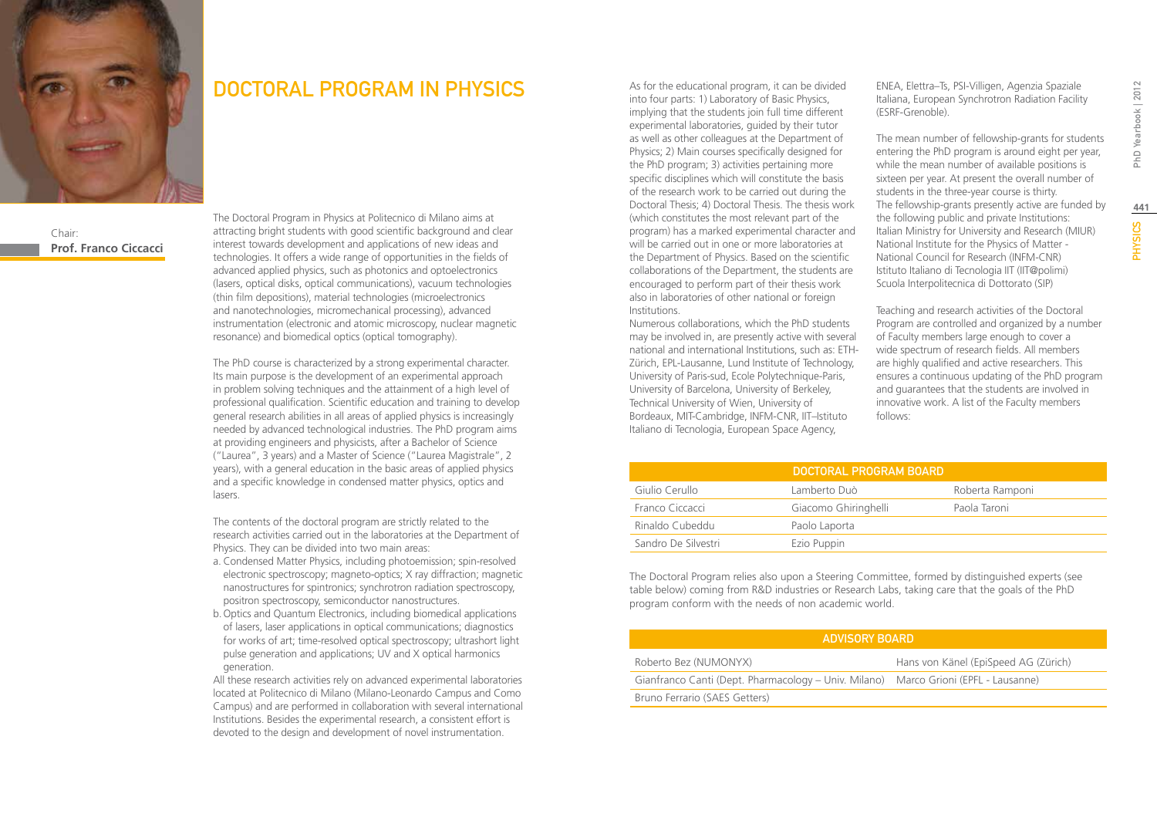

### Chair: **Prof. Franco Ciccacci**

### DOCTORAL PROGRAM IN PHYSICS

The Doctoral Program in Physics at Politecnico di Milano aims at attracting bright students with good scientific background and clear interest towards development and applications of new ideas and technologies. It offers a wide range of opportunities in the fields of advanced applied physics, such as photonics and optoelectronics (lasers, optical disks, optical communications), vacuum technologies (thin film depositions), material technologies (microelectronics and nanotechnologies, micromechanical processing), advanced instrumentation (electronic and atomic microscopy, nuclear magnetic resonance) and biomedical optics (optical tomography).

The PhD course is characterized by a strong experimental character. Its main purpose is the development of an experimental approach in problem solving techniques and the attainment of a high level of professional qualification. Scientific education and training to develop general research abilities in all areas of applied physics is increasingly needed by advanced technological industries. The PhD program aims at providing engineers and physicists, after a Bachelor of Science ("Laurea", 3 years) and a Master of Science ("Laurea Magistrale", 2 years), with a general education in the basic areas of applied physics and a specific knowledge in condensed matter physics, optics and lasers.

The contents of the doctoral program are strictly related to the research activities carried out in the laboratories at the Department of Physics. They can be divided into two main areas:

- a. Condensed Matter Physics, including photoemission; spin-resolved electronic spectroscopy; magneto-optics; X ray diffraction; magnetic nanostructures for spintronics; synchrotron radiation spectroscopy, positron spectroscopy, semiconductor nanostructures.
- b.Optics and Quantum Electronics, including biomedical applications of lasers, laser applications in optical communications; diagnostics for works of art; time-resolved optical spectroscopy; ultrashort light pulse generation and applications; UV and X optical harmonics generation.

All these research activities rely on advanced experimental laboratories located at Politecnico di Milano (Milano-Leonardo Campus and Como Campus) and are performed in collaboration with several international Institutions. Besides the experimental research, a consistent effort is devoted to the design and development of novel instrumentation.

As for the educational program, it can be divided into four parts: 1) Laboratory of Basic Physics, implying that the students join full time different experimental laboratories, guided by their tutor as well as other colleagues at the Department of Physics; 2) Main courses specifically designed for the PhD program; 3) activities pertaining more specific disciplines which will constitute the basis of the research work to be carried out during the Doctoral Thesis; 4) Doctoral Thesis. The thesis work (which constitutes the most relevant part of the program) has a marked experimental character and will be carried out in one or more laboratories at the Department of Physics. Based on the scientific collaborations of the Department, the students are encouraged to perform part of their thesis work also in laboratories of other national or foreign Institutions.

Numerous collaborations, which the PhD students may be involved in, are presently active with several national and international Institutions, such as: ETH-Zürich, EPL-Lausanne, Lund Institute of Technology, University of Paris-sud, Ecole Polytechnique-Paris, University of Barcelona, University of Berkeley, Technical University of Wien, University of Bordeaux, MIT-Cambridge, INFM-CNR, IIT–Istituto Italiano di Tecnologia, European Space Agency,

ENEA, Elettra–Ts, PSI-Villigen, Agenzia Spaziale Italiana, European Synchrotron Radiation Facility (ESRF-Grenoble).

The mean number of fellowship-grants for students entering the PhD program is around eight per year, while the mean number of available positions is sixteen per year. At present the overall number of students in the three-year course is thirty. The fellowship-grants presently active are funded by the following public and private Institutions: Italian Ministry for University and Research (MIUR) National Institute for the Physics of Matter - National Council for Research (INFM-CNR) Istituto Italiano di Tecnologia IIT (IIT@polimi) Scuola Interpolitecnica di Dottorato (SIP)

Teaching and research activities of the Doctoral Program are controlled and organized by a number of Faculty members large enough to cover a wide spectrum of research fields. All members are highly qualified and active researchers. This ensures a continuous updating of the PhD program and guarantees that the students are involved in innovative work. A list of the Faculty members follows:

|                     | DOCTORAL PROGRAM BOARD |                 |
|---------------------|------------------------|-----------------|
| Giulio Cerullo      | Lamberto Duò           | Roberta Ramponi |
| Franco Ciccacci     | Giacomo Ghiringhelli   | Paola Taroni    |
| Rinaldo Cubeddu     | Paolo Laporta          |                 |
| Sandro De Silvestri | Ezio Puppin            |                 |

The Doctoral Program relies also upon a Steering Committee, formed by distinguished experts (see table below) coming from R&D industries or Research Labs, taking care that the goals of the PhD program conform with the needs of non academic world.

| ADVISORY BOARD                                                                      |                                      |  |  |
|-------------------------------------------------------------------------------------|--------------------------------------|--|--|
| Roberto Bez (NUMONYX)                                                               | Hans von Känel (EpiSpeed AG (Zürich) |  |  |
| Gianfranco Canti (Dept. Pharmacology – Univ. Milano) Marco Grioni (EPFL - Lausanne) |                                      |  |  |
| Bruno Ferrario (SAES Getters)                                                       |                                      |  |  |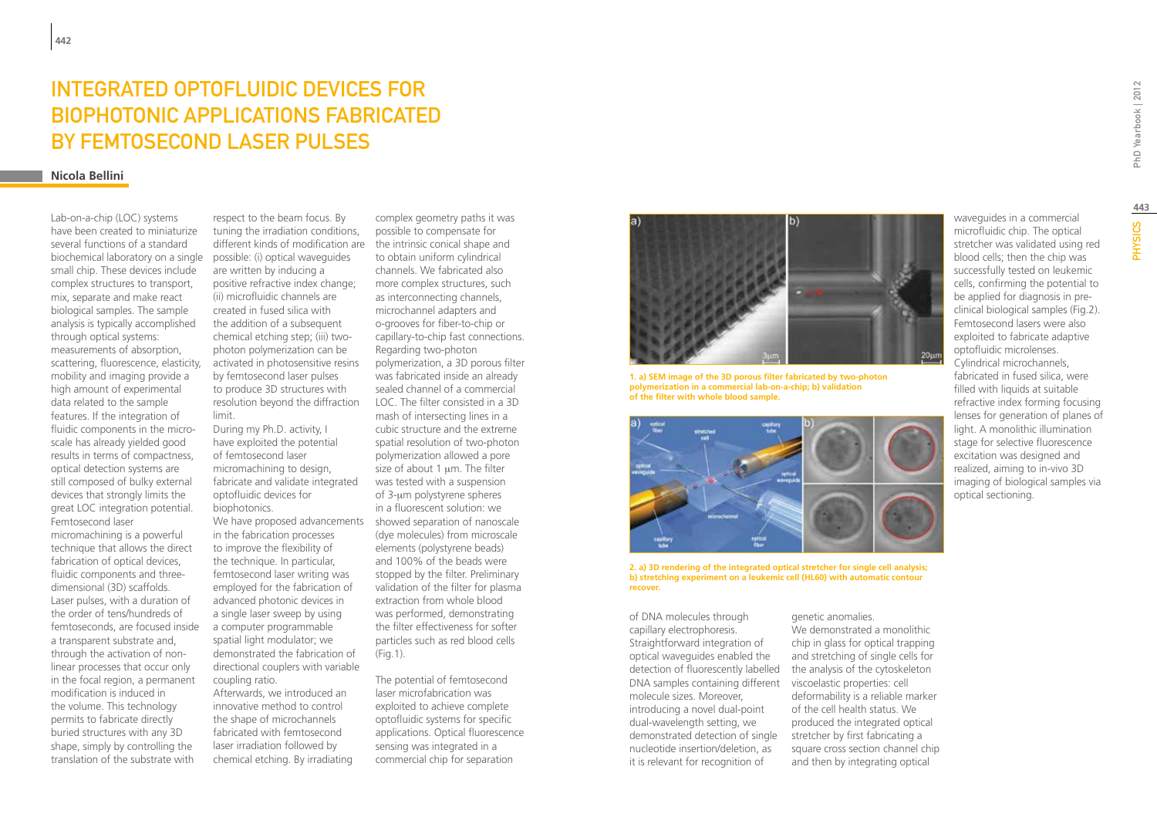# INTEGRATED OPTOFLUIDIC DEVICES FOR biophotonic applications fabricated by femtosecond laser pulses

#### **Nicola Bellini**

Lab-on-a-chip (LOC) systems have been created to miniaturize several functions of a standard biochemical laboratory on a single small chip. These devices include complex structures to transport, mix, separate and make react biological samples. The sample analysis is typically accomplished through optical systems: measurements of absorption, scattering, fluorescence, elasticity, mobility and imaging provide a high amount of experimental data related to the sample features. If the integration of fluidic components in the microscale has already yielded good results in terms of compactness, optical detection systems are still composed of bulky external devices that strongly limits the great LOC integration potential. Femtosecond laser micromachining is a powerful

technique that allows the direct fabrication of optical devices, fluidic components and threedimensional (3D) scaffolds. Laser pulses, with a duration of the order of tens/hundreds of femtoseconds, are focused inside a transparent substrate and, through the activation of nonlinear processes that occur only in the focal region, a permanent modification is induced in the volume. This technology permits to fabricate directly buried structures with any 3D shape, simply by controlling the translation of the substrate with

respect to the beam focus. By tuning the irradiation conditions, different kinds of modification are possible: (i) optical waveguides are written by inducing a positive refractive index change; (ii) microfluidic channels are created in fused silica with the addition of a subsequent chemical etching step; (iii) twophoton polymerization can be activated in photosensitive resins by femtosecond laser pulses to produce 3D structures with resolution beyond the diffraction limit.

During my Ph.D. activity, I have exploited the potential of femtosecond laser micromachining to design, fabricate and validate integrated optofluidic devices for biophotonics.

We have proposed advancements in the fabrication processes to improve the flexibility of the technique. In particular, femtosecond laser writing was employed for the fabrication of advanced photonic devices in a single laser sweep by using a computer programmable spatial light modulator; we demonstrated the fabrication of directional couplers with variable coupling ratio.

Afterwards, we introduced an innovative method to control the shape of microchannels fabricated with femtosecond laser irradiation followed by chemical etching. By irradiating

complex geometry paths it was possible to compensate for the intrinsic conical shape and to obtain uniform cylindrical channels. We fabricated also more complex structures, such as interconnecting channels, microchannel adapters and o-grooves for fiber-to-chip or capillary-to-chip fast connections. Regarding two-photon polymerization, a 3D porous filter was fabricated inside an already sealed channel of a commercial LOC. The filter consisted in a 3D mash of intersecting lines in a cubic structure and the extreme spatial resolution of two-photon polymerization allowed a pore size of about 1 um. The filter was tested with a suspension of 3-um polystyrene spheres in a fluorescent solution: we showed separation of nanoscale (dye molecules) from microscale elements (polystyrene beads) and 100% of the beads were stopped by the filter. Preliminary validation of the filter for plasma extraction from whole blood was performed, demonstrating the filter effectiveness for softer particles such as red blood cells (Fig.1).

The potential of femtosecond laser microfabrication was exploited to achieve complete optofluidic systems for specific applications. Optical fluorescence sensing was integrated in a commercial chip for separation



**1. a) SEM image of the 3D porous filter fabricated by two-photon polymerization in a commercial lab-on-a-chip; b) validation of the filter with whole blood sample.**



**2. a) 3D rendering of the integrated optical stretcher for single cell analysis; b) stretching experiment on a leukemic cell (HL60) with automatic contour recover.**

of DNA molecules through capillary electrophoresis. Straightforward integration of optical waveguides enabled the detection of fluorescently labelled DNA samples containing different viscoelastic properties: cell molecule sizes. Moreover, introducing a novel dual-point dual-wavelength setting, we demonstrated detection of single nucleotide insertion/deletion, as it is relevant for recognition of

genetic anomalies. We demonstrated a monolithic chip in glass for optical trapping and stretching of single cells for the analysis of the cytoskeleton deformability is a reliable marker of the cell health status. We produced the integrated optical stretcher by first fabricating a square cross section channel chip and then by integrating optical

waveguides in a commercial microfluidic chip. The optical stretcher was validated using red blood cells; then the chip was successfully tested on leukemic cells, confirming the potential to be applied for diagnosis in preclinical biological samples (Fig.2). Femtosecond lasers were also exploited to fabricate adaptive optofluidic microlenses. Cylindrical microchannels, fabricated in fused silica, were filled with liquids at suitable refractive index forming focusing lenses for generation of planes of light. A monolithic illumination stage for selective fluorescence excitation was designed and realized, aiming to in-vivo 3D

imaging of biological samples via

optical sectioning.

**443**

**PHYSICS**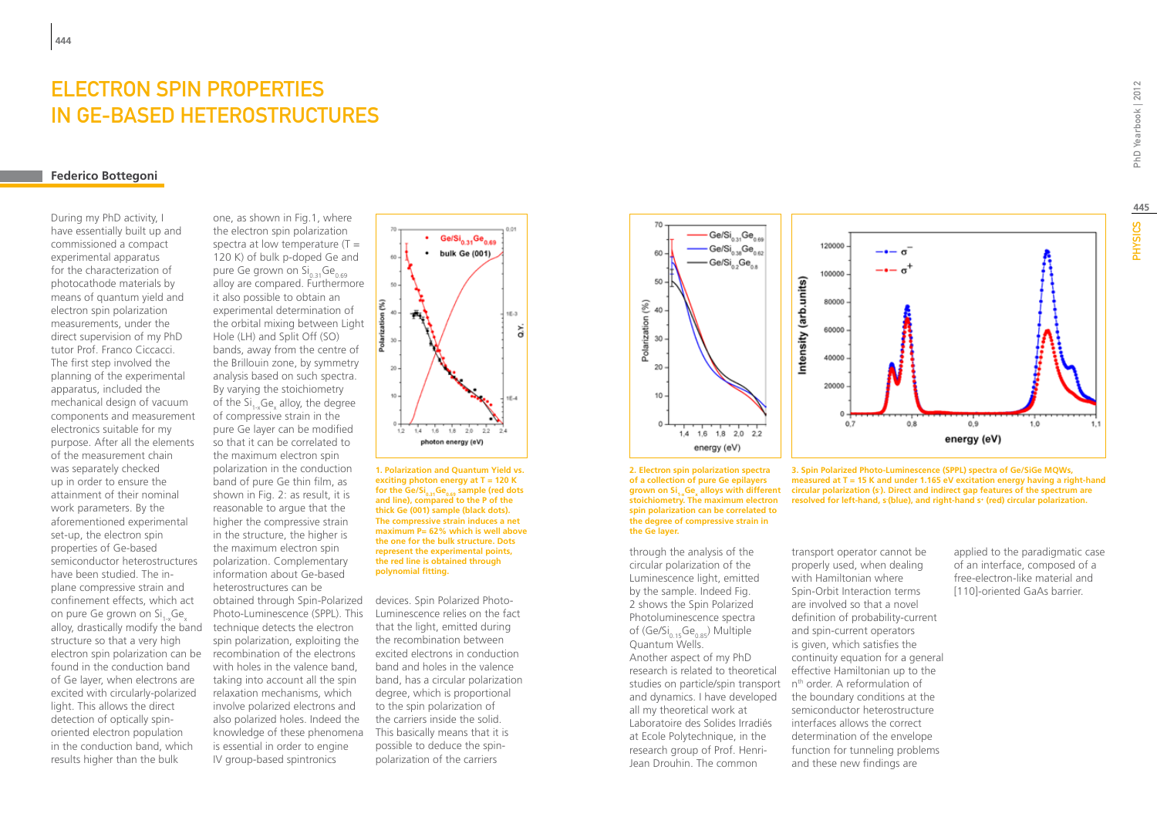### ELECTRON SPIN PROPERTIES IN Ge-BASED HETEROSTRUCTURES

#### **Federico Bottegoni**

During my PhD activity, I have essentially built up and commissioned a compact experimental apparatus for the characterization of photocathode materials by means of quantum yield and electron spin polarization measurements, under the direct supervision of my PhD tutor Prof. Franco Ciccacci. The first step involved the planning of the experimental apparatus, included the mechanical design of vacuum components and measurement electronics suitable for my purpose. After all the elements of the measurement chain was separately checked up in order to ensure the attainment of their nominal work parameters. By the aforementioned experimental set-up, the electron spin properties of Ge-based semiconductor heterostructures have been studied. The inplane compressive strain and confinement effects, which act on pure Ge grown on Si, Ge alloy, drastically modify the band technique detects the electron structure so that a very high electron spin polarization can be found in the conduction band of Ge layer, when electrons are excited with circularly-polarized light. This allows the direct detection of optically spinoriented electron population in the conduction band, which results higher than the bulk

one, as shown in Fig.1, where the electron spin polarization spectra at low temperature  $(T =$ 120 K) of bulk p-doped Ge and pure Ge grown on  $Si_{0.31}Ge_{0.69}$ alloy are compared. Furthermore it also possible to obtain an experimental determination of the orbital mixing between Light Hole (LH) and Split Off (SO) bands, away from the centre of the Brillouin zone, by symmetry analysis based on such spectra. By varying the stoichiometry of the  $\text{Si}_{1-x}\text{Ge}_{x}$  alloy, the degree of compressive strain in the pure Ge layer can be modified so that it can be correlated to the maximum electron spin polarization in the conduction band of pure Ge thin film, as shown in Fig. 2: as result, it is reasonable to argue that the higher the compressive strain in the structure, the higher is the maximum electron spin polarization. Complementary information about Ge-based heterostructures can be obtained through Spin-Polarized devices. Spin Polarized Photo-Photo-Luminescence (SPPL). This spin polarization, exploiting the recombination of the electrons with holes in the valence band, taking into account all the spin relaxation mechanisms, which involve polarized electrons and also polarized holes. Indeed the knowledge of these phenomena is essential in order to engine IV group-based spintronics



**1. Polarization and Quantum Yield vs. exciting photon energy at T = 120 K**  for the Ge/Si<sub>0.31</sub>Ge<sub>0.69</sub> sample (red dots **and line), compared to the P of the thick Ge (001) sample (black dots). The compressive strain induces a net maximum P= 62% which is well above the one for the bulk structure. Dots represent the experimental points, the red line is obtained through polynomial fitting.**

Luminescence relies on the fact that the light, emitted during the recombination between excited electrons in conduction band and holes in the valence band, has a circular polarization degree, which is proportional to the spin polarization of the carriers inside the solid. This basically means that it is possible to deduce the spinpolarization of the carriers





through the analysis of the circular polarization of the Luminescence light, emitted by the sample. Indeed Fig. 2 shows the Spin Polarized Photoluminescence spectra of  $(Ge/Si_{0.15}Ge_{0.85})$  Multiple Quantum Wells. Another aspect of my PhD research is related to theoretical studies on particle/spin transport and dynamics. I have developed all my theoretical work at Laboratoire des Solides Irradiés at Ecole Polytechnique, in the research group of Prof. Henri-Jean Drouhin. The common



grown on Si<sub>1×</sub>Ge<sub>x</sub> alloys with different acircular polarization (s). Direct and indirect gap features of the spectrum are **3. Spin Polarized Photo-Luminescence (SPPL) spectra of Ge/SiGe MQWs, measured at T = 15 K and under 1.165 eV excitation energy having a right-hand resolved for left-hand, s- (blue), and right-hand s+ (red) circular polarization.**

> transport operator cannot be properly used, when dealing with Hamiltonian where Spin-Orbit Interaction terms are involved so that a novel definition of probability-current and spin-current operators is given, which satisfies the continuity equation for a general effective Hamiltonian up to the n<sup>th</sup> order. A reformulation of the boundary conditions at the semiconductor heterostructure interfaces allows the correct determination of the envelope function for tunneling problems and these new findings are

applied to the paradigmatic case of an interface, composed of a free-electron-like material and [110]-oriented GaAs barrier.

**445**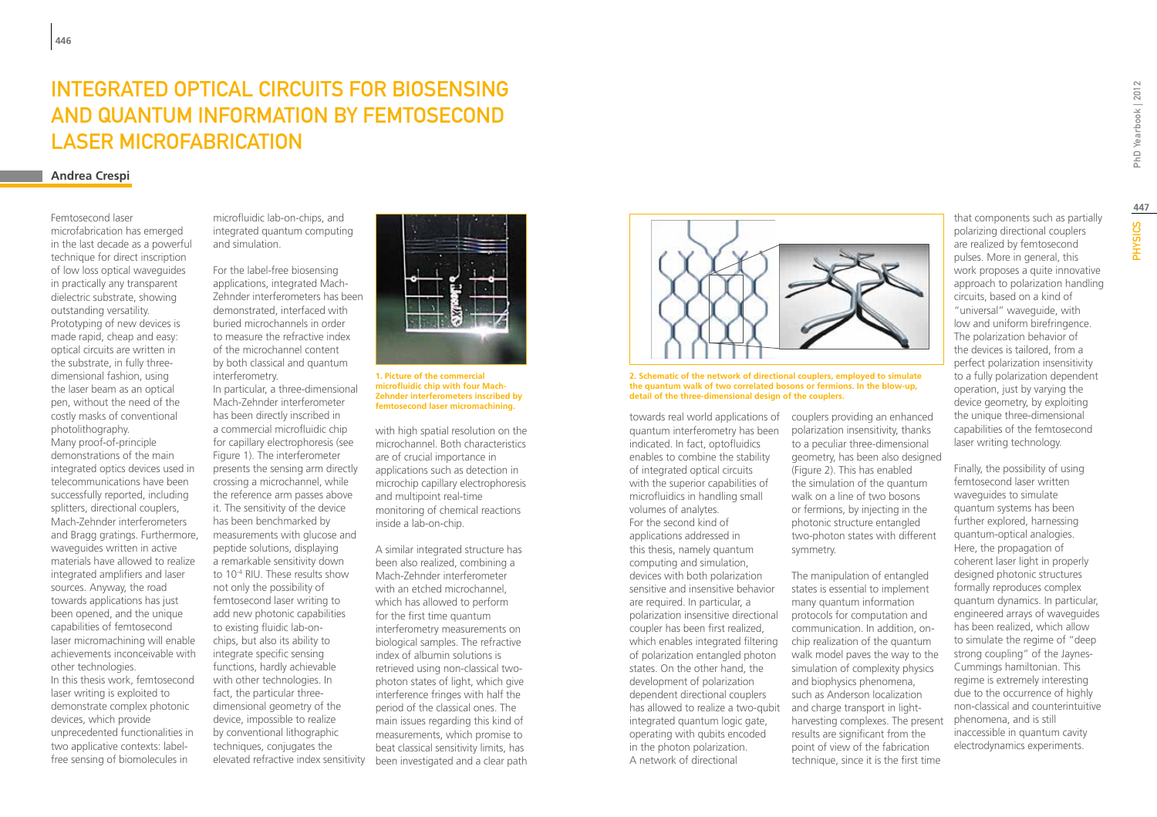## Integrated Optical Circuits for Biosensing and Quantum Information by Femtosecond Laser Microfabrication

#### **Andrea Crespi**

#### Femtosecond laser

microfabrication has emerged in the last decade as a powerful technique for direct inscription of low loss optical waveguides in practically any transparent dielectric substrate, showing outstanding versatility. Prototyping of new devices is made rapid, cheap and easy: optical circuits are written in the substrate, in fully threedimensional fashion, using the laser beam as an optical pen, without the need of the costly masks of conventional photolithography.

Many proof-of-principle demonstrations of the main integrated optics devices used in telecommunications have been successfully reported, including splitters, directional couplers, Mach-Zehnder interferometers and Bragg gratings. Furthermore, waveguides written in active materials have allowed to realize integrated amplifiers and laser sources. Anyway, the road towards applications has just been opened, and the unique capabilities of femtosecond laser micromachining will enable achievements inconceivable with other technologies.

In this thesis work, femtosecond laser writing is exploited to demonstrate complex photonic devices, which provide unprecedented functionalities in two applicative contexts: labelfree sensing of biomolecules in

microfluidic lab-on-chips, and integrated quantum computing and simulation.

For the label-free biosensing applications, integrated Mach-Zehnder interferometers has been demonstrated, interfaced with buried microchannels in order to measure the refractive index of the microchannel content by both classical and quantum interferometry.

In particular, a three-dimensional Mach-Zehnder interferometer has been directly inscribed in a commercial microfluidic chip for capillary electrophoresis (see Figure 1). The interferometer presents the sensing arm directly crossing a microchannel, while the reference arm passes above it. The sensitivity of the device has been benchmarked by measurements with glucose and peptide solutions, displaying a remarkable sensitivity down to 10-4 RIU. These results show not only the possibility of femtosecond laser writing to add new photonic capabilities to existing fluidic lab-onchips, but also its ability to integrate specific sensing functions, hardly achievable with other technologies. In fact, the particular threedimensional geometry of the device, impossible to realize by conventional lithographic techniques, conjugates the elevated refractive index sensitivity



**1. Picture of the commercial microfluidic chip with four Mach-Zehnder interferometers inscribed by femtosecond laser micromachining.**

with high spatial resolution on the microchannel. Both characteristics are of crucial importance in applications such as detection in microchip capillary electrophoresis and multipoint real-time monitoring of chemical reactions inside a lab-on-chip.

A similar integrated structure has been also realized, combining a Mach-Zehnder interferometer with an etched microchannel. which has allowed to perform for the first time quantum interferometry measurements on biological samples. The refractive index of albumin solutions is retrieved using non-classical twophoton states of light, which give interference fringes with half the period of the classical ones. The main issues regarding this kind of measurements, which promise to beat classical sensitivity limits, has been investigated and a clear path



**2. Schematic of the network of directional couplers, employed to simulate the quantum walk of two correlated bosons or fermions. In the blow-up, detail of the three-dimensional design of the couplers.**

towards real world applications of quantum interferometry has been indicated. In fact, optofluidics enables to combine the stability of integrated optical circuits with the superior capabilities of microfluidics in handling small volumes of analytes. For the second kind of applications addressed in this thesis, namely quantum computing and simulation, devices with both polarization sensitive and insensitive behavior are required. In particular, a polarization insensitive directional coupler has been first realized, which enables integrated filtering of polarization entangled photon states. On the other hand, the development of polarization dependent directional couplers has allowed to realize a two-qubit integrated quantum logic gate, operating with qubits encoded in the photon polarization. A network of directional

couplers providing an enhanced polarization insensitivity, thanks to a peculiar three-dimensional geometry, has been also designed (Figure 2). This has enabled the simulation of the quantum walk on a line of two bosons or fermions, by injecting in the photonic structure entangled two-photon states with different symmetry.

The manipulation of entangled states is essential to implement many quantum information protocols for computation and communication. In addition, onchip realization of the quantum walk model paves the way to the simulation of complexity physics and biophysics phenomena, such as Anderson localization and charge transport in lightharvesting complexes. The present results are significant from the point of view of the fabrication technique, since it is the first time

that components such as partially polarizing directional couplers are realized by femtosecond pulses. More in general, this work proposes a quite innovative approach to polarization handling circuits, based on a kind of "universal" waveguide, with low and uniform birefringence. The polarization behavior of the devices is tailored, from a perfect polarization insensitivity to a fully polarization dependent operation, just by varying the device geometry, by exploiting the unique three-dimensional capabilities of the femtosecond laser writing technology.

Finally, the possibility of using femtosecond laser written waveguides to simulate quantum systems has been further explored, harnessing quantum-optical analogies. Here, the propagation of coherent laser light in properly designed photonic structures formally reproduces complex quantum dynamics. In particular, engineered arrays of waveguides has been realized, which allow to simulate the regime of "deep strong coupling" of the Jaynes-Cummings hamiltonian. This regime is extremely interesting due to the occurrence of highly non-classical and counterintuitive phenomena, and is still inaccessible in quantum cavity electrodynamics experiments.

**PHYSICS**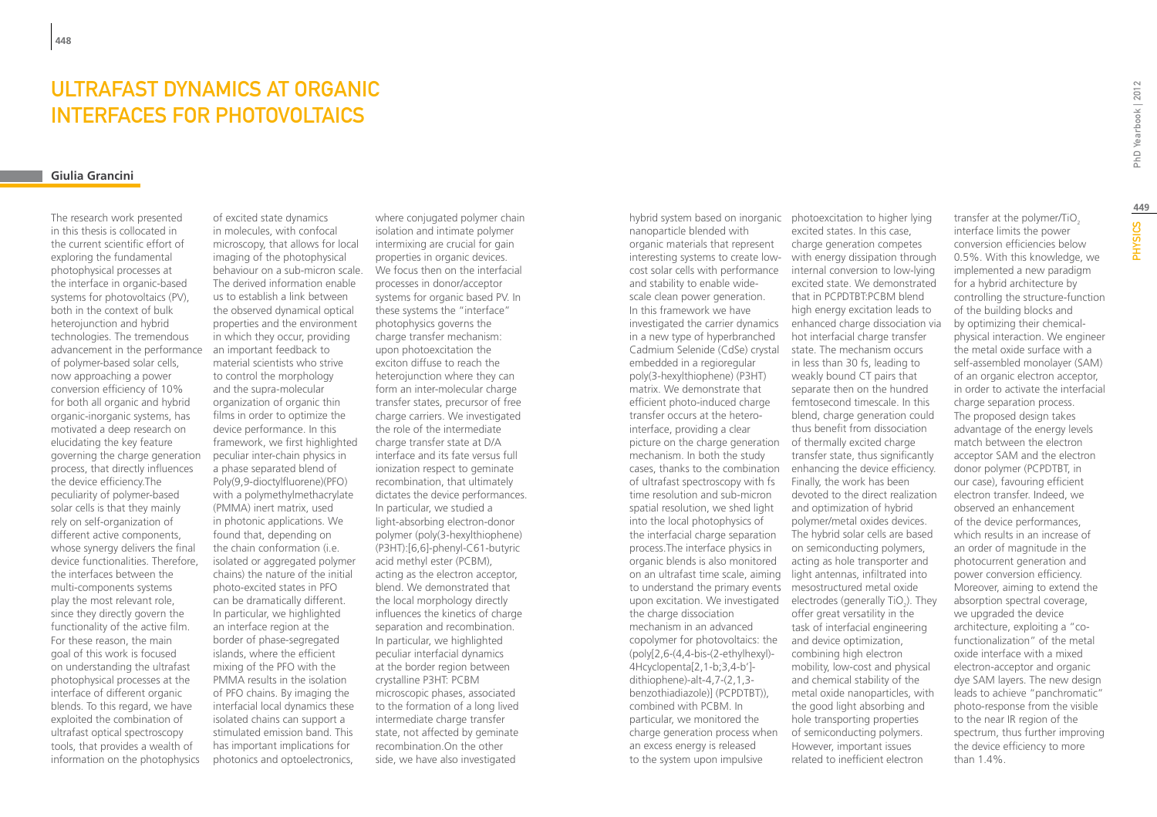# Ultrafast Dynamics at Organic Interfaces for Photovoltaics

### **Giulia Grancini**

The research work presented in this thesis is collocated in the current scientific effort of exploring the fundamental photophysical processes at the interface in organic-based systems for photovoltaics (PV), both in the context of bulk heterojunction and hybrid technologies. The tremendous advancement in the performance of polymer-based solar cells, now approaching a power conversion efficiency of 10% for both all organic and hybrid organic-inorganic systems, has motivated a deep research on elucidating the key feature governing the charge generation process, that directly influences the device efficiency.The peculiarity of polymer-based solar cells is that they mainly rely on self-organization of different active components, whose synergy delivers the final device functionalities. Therefore, the interfaces between the multi-components systems play the most relevant role, since they directly govern the functionality of the active film. For these reason, the main goal of this work is focused on understanding the ultrafast photophysical processes at the interface of different organic blends. To this regard, we have exploited the combination of ultrafast optical spectroscopy tools, that provides a wealth of information on the photophysics

of excited state dynamics in molecules, with confocal microscopy, that allows for local imaging of the photophysical behaviour on a sub-micron scale. The derived information enable us to establish a link between the observed dynamical optical properties and the environment in which they occur, providing an important feedback to material scientists who strive to control the morphology and the supra-molecular organization of organic thin films in order to optimize the device performance. In this framework, we first highlighted peculiar inter-chain physics in a phase separated blend of Poly(9,9-dioctylfluorene)(PFO) with a polymethylmethacrylate (PMMA) inert matrix, used in photonic applications. We found that, depending on the chain conformation (i.e. isolated or aggregated polymer chains) the nature of the initial photo-excited states in PFO can be dramatically different. In particular, we highlighted an interface region at the border of phase-segregated islands, where the efficient mixing of the PFO with the PMMA results in the isolation of PFO chains. By imaging the interfacial local dynamics these isolated chains can support a stimulated emission band. This has important implications for photonics and optoelectronics,

where conjugated polymer chain isolation and intimate polymer intermixing are crucial for gain properties in organic devices. We focus then on the interfacial processes in donor/acceptor systems for organic based PV. In these systems the "interface" photophysics governs the charge transfer mechanism: upon photoexcitation the exciton diffuse to reach the heterojunction where they can form an inter-molecular charge transfer states, precursor of free charge carriers. We investigated the role of the intermediate charge transfer state at D/A interface and its fate versus full ionization respect to geminate recombination, that ultimately dictates the device performances. In particular, we studied a light-absorbing electron-donor polymer (poly(3-hexylthiophene) (P3HT):[6,6]-phenyl-C61-butyric acid methyl ester (PCBM), acting as the electron acceptor, blend. We demonstrated that the local morphology directly influences the kinetics of charge separation and recombination. In particular, we highlighted peculiar interfacial dynamics at the border region between crystalline P3HT: PCBM microscopic phases, associated to the formation of a long lived intermediate charge transfer state, not affected by geminate recombination.On the other side, we have also investigated

hybrid system based on inorganic photoexcitation to higher lying nanoparticle blended with organic materials that represent interesting systems to create low-with energy dissipation through cost solar cells with performance and stability to enable widescale clean power generation. In this framework we have investigated the carrier dynamics enhanced charge dissociation via in a new type of hyperbranched Cadmium Selenide (CdSe) crystal embedded in a regioregular poly(3-hexylthiophene) (P3HT) matrix. We demonstrate that efficient photo-induced charge transfer occurs at the heterointerface, providing a clear picture on the charge generation of thermally excited charge mechanism. In both the study cases, thanks to the combination of ultrafast spectroscopy with fs time resolution and sub-micron spatial resolution, we shed light into the local photophysics of the interfacial charge separation process.The interface physics in organic blends is also monitored on an ultrafast time scale, aiming light antennas, infiltrated into to understand the primary events mesostructured metal oxide upon excitation. We investigated electrodes (generally TiO<sub>2</sub>). They the charge dissociation mechanism in an advanced copolymer for photovoltaics: the (poly[2,6-(4,4-bis-(2-ethylhexyl)- 4Hcyclopenta[2,1-b;3,4-b'] dithiophene)-alt-4,7-(2,1,3 benzothiadiazole)] (PCPDTBT)), combined with PCBM. In particular, we monitored the charge generation process when an excess energy is released to the system upon impulsive

excited states. In this case, charge generation competes internal conversion to low-lying excited state. We demonstrated that in PCPDTBT:PCBM blend high energy excitation leads to hot interfacial charge transfer state. The mechanism occurs in less than 30 fs, leading to weakly bound CT pairs that separate then on the hundred femtosecond timescale. In this blend, charge generation could thus benefit from dissociation transfer state, thus significantly enhancing the device efficiency. Finally, the work has been devoted to the direct realization and optimization of hybrid polymer/metal oxides devices. The hybrid solar cells are based on semiconducting polymers, acting as hole transporter and offer great versatility in the task of interfacial engineering and device optimization, combining high electron mobility, low-cost and physical and chemical stability of the metal oxide nanoparticles, with the good light absorbing and hole transporting properties of semiconducting polymers. However, important issues related to inefficient electron

transfer at the polymer/TiO2 interface limits the power conversion efficiencies below 0.5%. With this knowledge, we implemented a new paradigm for a hybrid architecture by controlling the structure-function of the building blocks and by optimizing their chemicalphysical interaction. We engineer the metal oxide surface with a self-assembled monolayer (SAM) of an organic electron acceptor, in order to activate the interfacial charge separation process. The proposed design takes advantage of the energy levels match between the electron acceptor SAM and the electron donor polymer (PCPDTBT, in our case), favouring efficient electron transfer. Indeed, we observed an enhancement of the device performances, which results in an increase of an order of magnitude in the photocurrent generation and power conversion efficiency. Moreover, aiming to extend the absorption spectral coverage, we upgraded the device architecture, exploiting a "cofunctionalization" of the metal oxide interface with a mixed electron-acceptor and organic dye SAM layers. The new design leads to achieve "panchromatic" photo-response from the visible to the near IR region of the spectrum, thus further improving the device efficiency to more

than 1.4%.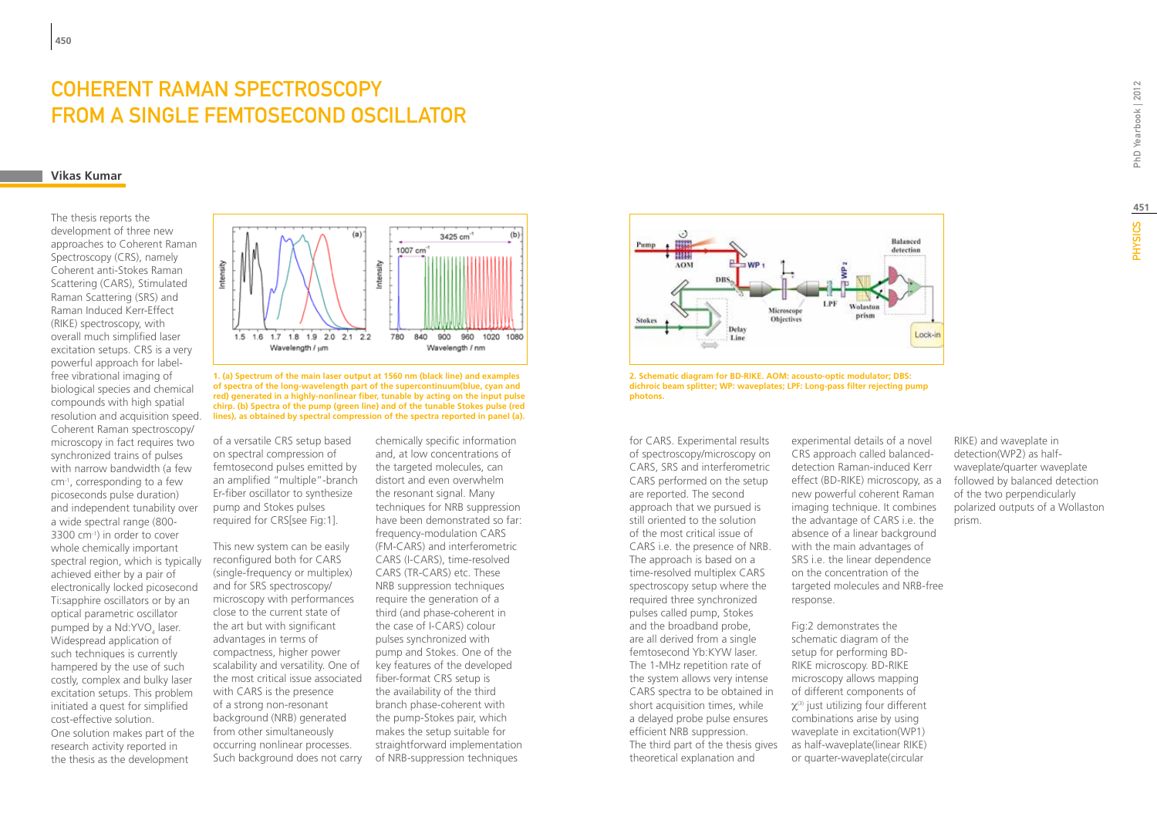# Coherent Raman Spectroscopy from a single femtosecond oscillator

#### **Vikas Kumar**

The thesis reports the development of three new approaches to Coherent Raman Spectroscopy (CRS), namely Coherent anti-Stokes Raman Scattering (CARS), Stimulated Raman Scattering (SRS) and Raman Induced Kerr-Effect (RIKE) spectroscopy, with overall much simplified laser excitation setups. CRS is a very powerful approach for labelfree vibrational imaging of biological species and chemical compounds with high spatial resolution and acquisition speed. Coherent Raman spectroscopy/ microscopy in fact requires two synchronized trains of pulses with narrow bandwidth (a few cm-1, corresponding to a few picoseconds pulse duration) and independent tunability over a wide spectral range (800- 3300 cm-1) in order to cover whole chemically important spectral region, which is typically achieved either by a pair of electronically locked picosecond Ti:sapphire oscillators or by an optical parametric oscillator pumped by a Nd:YVO<sub>4</sub> laser. Widespread application of such techniques is currently hampered by the use of such costly, complex and bulky laser excitation setups. This problem initiated a quest for simplified cost-effective solution. One solution makes part of the research activity reported in the thesis as the development



**1. (a) Spectrum of the main laser output at 1560 nm (black line) and examples of spectra of the long-wavelength part of the supercontinuum(blue, cyan and red) generated in a highly-nonlinear fiber, tunable by acting on the input pulse chirp. (b) Spectra of the pump (green line) and of the tunable Stokes pulse (red lines), as obtained by spectral compression of the spectra reported in panel (a).**

of a versatile CRS setup based on spectral compression of femtosecond pulses emitted by an amplified "multiple"-branch Er-fiber oscillator to synthesize pump and Stokes pulses required for CRS[see Fig:1].

This new system can be easily reconfigured both for CARS (single-frequency or multiplex) and for SRS spectroscopy/ microscopy with performances close to the current state of the art but with significant advantages in terms of compactness, higher power scalability and versatility. One of the most critical issue associated with CARS is the presence of a strong non-resonant background (NRB) generated from other simultaneously occurring nonlinear processes. Such background does not carry

chemically specific information and, at low concentrations of the targeted molecules, can distort and even overwhelm the resonant signal. Many techniques for NRB suppression have been demonstrated so far: frequency-modulation CARS (FM-CARS) and interferometric CARS (I-CARS), time-resolved CARS (TR-CARS) etc. These NRB suppression techniques require the generation of a third (and phase-coherent in the case of I-CARS) colour pulses synchronized with pump and Stokes. One of the key features of the developed fiber-format CRS setup is the availability of the third branch phase-coherent with the pump-Stokes pair, which makes the setup suitable for straightforward implementation of NRB-suppression techniques



**2. Schematic diagram for BD-RIKE. AOM: acousto-optic modulator; DBS: dichroic beam splitter; WP: waveplates; LPF: Long-pass filter rejecting pump photons.**

for CARS. Experimental results of spectroscopy/microscopy on CARS, SRS and interferometric CARS performed on the setup are reported. The second approach that we pursued is still oriented to the solution of the most critical issue of CARS i.e. the presence of NRB. The approach is based on a time-resolved multiplex CARS spectroscopy setup where the required three synchronized pulses called pump, Stokes and the broadband probe, are all derived from a single femtosecond Yb:KYW laser. The 1-MHz repetition rate of the system allows very intense CARS spectra to be obtained in short acquisition times, while a delayed probe pulse ensures efficient NRB suppression. The third part of the thesis gives theoretical explanation and

experimental details of a novel CRS approach called balanceddetection Raman-induced Kerr effect (BD-RIKE) microscopy, as a new powerful coherent Raman imaging technique. It combines the advantage of CARS i.e. the absence of a linear background with the main advantages of SRS i.e. the linear dependence on the concentration of the targeted molecules and NRB-free response.

Fig:2 demonstrates the schematic diagram of the setup for performing BD-RIKE microscopy. BD-RIKE microscopy allows mapping of different components of  $\chi$ <sup>(3)</sup> just utilizing four different combinations arise by using waveplate in excitation(WP1) as half-waveplate(linear RIKE) or quarter-waveplate(circular

RIKE) and waveplate in detection(WP2) as halfwaveplate/quarter waveplate followed by balanced detection of the two perpendicularly polarized outputs of a Wollaston prism.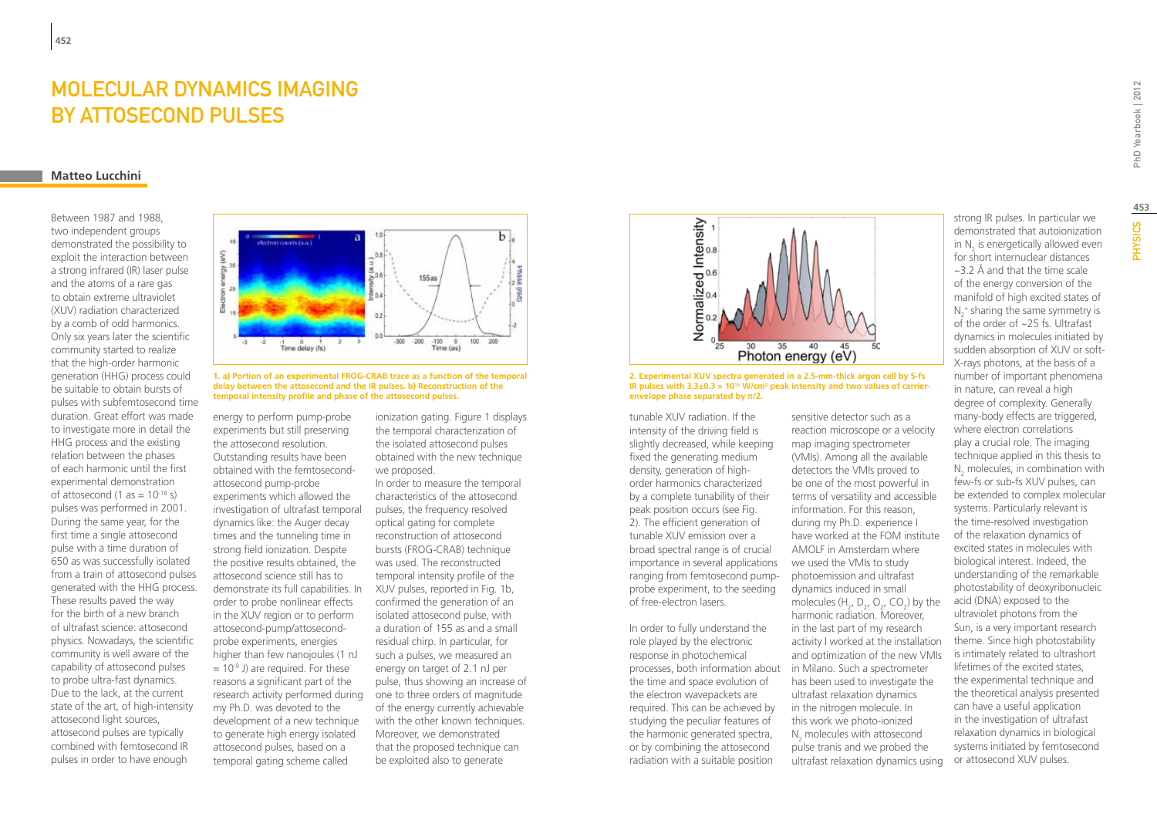# MOLECULAR DYNAMICS IMAGING by Attosecond Pulses

### **Matteo Lucchini**

Between 1987 and 1988, two independent groups demonstrated the possibility to exploit the interaction between a strong infrared (IR) laser pulse and the atoms of a rare gas to obtain extreme ultraviolet (XUV) radiation characterized by a comb of odd harmonics. Only six years later the scientific community started to realize that the high-order harmonic generation (HHG) process could be suitable to obtain bursts of pulses with subfemtosecond time duration. Great effort was made to investigate more in detail the HHG process and the existing relation between the phases of each harmonic until the first experimental demonstration of attosecond  $(1 \text{ as} = 10^{-18} \text{ s})$ pulses was performed in 2001. During the same year, for the first time a single attosecond pulse with a time duration of 650 as was successfully isolated from a train of attosecond pulses generated with the HHG process. These results paved the way for the birth of a new branch of ultrafast science: attosecond physics. Nowadays, the scientific community is well aware of the capability of attosecond pulses to probe ultra-fast dynamics. Due to the lack, at the current state of the art, of high-intensity attosecond light sources, attosecond pulses are typically combined with femtosecond IR pulses in order to have enough



**1. a) Portion of an experimental FROG-CRAB trace as a function of the temporal delay between the attosecond and the IR pulses. b) Reconstruction of the temporal intensity profile and phase of the attosecond pulses.**

energy to perform pump-probe experiments but still preserving the attosecond resolution. Outstanding results have been obtained with the femtosecondattosecond pump-probe experiments which allowed the investigation of ultrafast temporal dynamics like: the Auger decay times and the tunneling time in strong field ionization. Despite the positive results obtained, the attosecond science still has to demonstrate its full capabilities. In order to probe nonlinear effects in the XUV region or to perform attosecond-pump/attosecondprobe experiments, energies higher than few nanojoules (1 nJ  $= 10<sup>-9</sup>$  J) are required. For these reasons a significant part of the research activity performed during one to three orders of magnitude my Ph.D. was devoted to the development of a new technique to generate high energy isolated attosecond pulses, based on a temporal gating scheme called

ionization gating. Figure 1 displays the temporal characterization of the isolated attosecond pulses obtained with the new technique we proposed.

In order to measure the temporal characteristics of the attosecond pulses, the frequency resolved optical gating for complete reconstruction of attosecond bursts (FROG-CRAB) technique was used. The reconstructed temporal intensity profile of the XUV pulses, reported in Fig. 1b, confirmed the generation of an isolated attosecond pulse, with a duration of 155 as and a small residual chirp. In particular, for such a pulses, we measured an energy on target of 2.1 nJ per pulse, thus showing an increase of of the energy currently achievable with the other known techniques. Moreover, we demonstrated that the proposed technique can be exploited also to generate



**2. Experimental XUV spectra generated in a 2.5-mm-thick argon cell by 5-fs IR pulses with 3.3±0.3 × 1015 W/cm2 peak intensity and two values of carrierenvelope phase separated by π/2.**

tunable XUV radiation. If the intensity of the driving field is slightly decreased, while keeping fixed the generating medium density, generation of highorder harmonics characterized by a complete tunability of their peak position occurs (see Fig. 2). The efficient generation of tunable XUV emission over a broad spectral range is of crucial importance in several applications ranging from femtosecond pumpprobe experiment, to the seeding of free-electron lasers.

In order to fully understand the role played by the electronic response in photochemical processes, both information about in Milano. Such a spectrometer the time and space evolution of the electron wavepackets are required. This can be achieved by studying the peculiar features of the harmonic generated spectra, or by combining the attosecond radiation with a suitable position

sensitive detector such as a reaction microscope or a velocity map imaging spectrometer (VMIs). Among all the available detectors the VMIs proved to be one of the most powerful in terms of versatility and accessible information. For this reason, during my Ph.D. experience I have worked at the FOM institute AMOLF in Amsterdam where we used the VMIs to study photoemission and ultrafast dynamics induced in small molecules  $(H_2, D_2, O_2, CO_2)$  by the harmonic radiation. Moreover, in the last part of my research activity I worked at the installation and optimization of the new VMIs has been used to investigate the ultrafast relaxation dynamics in the nitrogen molecule. In this work we photo-ionized  $N_2$  molecules with attosecond pulse tranis and we probed the ultrafast relaxation dynamics using

strong IR pulses. In particular we demonstrated that autoionization in  $N_2$  is energetically allowed even for short internuclear distances  $\approx$ 3.2 Å and that the time scale of the energy conversion of the manifold of high excited states of  $N_2^*$  sharing the same symmetry is of the order of ~25 fs. Ultrafast dynamics in molecules initiated by sudden absorption of XUV or soft-X-rays photons, at the basis of a number of important phenomena in nature, can reveal a high degree of complexity. Generally many-body effects are triggered, where electron correlations play a crucial role. The imaging technique applied in this thesis to  $N_2$  molecules, in combination with few-fs or sub-fs XUV pulses, can be extended to complex molecular systems. Particularly relevant is the time-resolved investigation of the relaxation dynamics of excited states in molecules with biological interest. Indeed, the understanding of the remarkable photostability of deoxyribonucleic acid (DNA) exposed to the ultraviolet photons from the Sun, is a very important research theme. Since high photostability is intimately related to ultrashort lifetimes of the excited states, the experimental technique and the theoretical analysis presented can have a useful application in the investigation of ultrafast relaxation dynamics in biological

systems initiated by femtosecond or attosecond XUV pulses.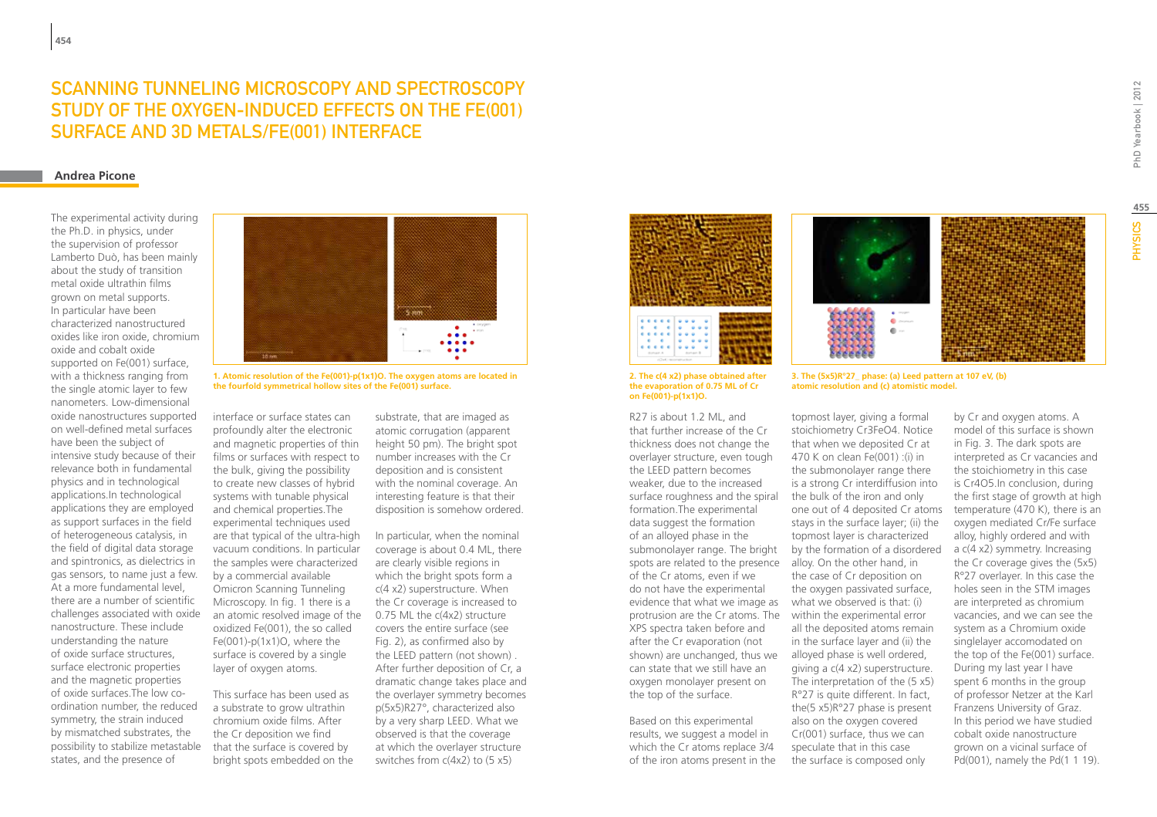### Scanning tunneling microscopy and spectroscopy study of the oxygen-induced effects on the Fe(001) surface and 3d metals/Fe(001) interface

#### **Andrea Picone**

The experimental activity during the Ph.D. in physics, under the supervision of professor Lamberto Duò, has been mainly about the study of transition metal oxide ultrathin films grown on metal supports. In particular have been characterized nanostructured oxides like iron oxide, chromium oxide and cobalt oxide supported on Fe(001) surface, with a thickness ranging from the single atomic layer to few nanometers. Low-dimensional oxide nanostructures supported on well-defined metal surfaces have been the subject of intensive study because of their relevance both in fundamental physics and in technological applications.In technological applications they are employed as support surfaces in the field of heterogeneous catalysis, in the field of digital data storage and spintronics, as dielectrics in gas sensors, to name just a few. At a more fundamental level, there are a number of scientific challenges associated with oxide nanostructure. These include understanding the nature of oxide surface structures, surface electronic properties and the magnetic properties of oxide surfaces.The low coordination number, the reduced symmetry, the strain induced by mismatched substrates, the possibility to stabilize metastable states, and the presence of



**1. Atomic resolution of the Fe(001)-p(1x1)O. The oxygen atoms are located in the fourfold symmetrical hollow sites of the Fe(001) surface.**

interface or surface states can profoundly alter the electronic and magnetic properties of thin films or surfaces with respect to the bulk, giving the possibility to create new classes of hybrid systems with tunable physical and chemical properties.The experimental techniques used are that typical of the ultra-high vacuum conditions. In particular the samples were characterized by a commercial available Omicron Scanning Tunneling Microscopy. In fig. 1 there is a an atomic resolved image of the oxidized Fe(001), the so called Fe(001)-p(1x1)O, where the surface is covered by a single layer of oxygen atoms.

This surface has been used as a substrate to grow ultrathin chromium oxide films. After the Cr deposition we find that the surface is covered by bright spots embedded on the

substrate, that are imaged as atomic corrugation (apparent height 50 pm). The bright spot number increases with the Cr deposition and is consistent with the nominal coverage. An interesting feature is that their disposition is somehow ordered.

In particular, when the nominal coverage is about 0.4 ML, there are clearly visible regions in which the bright spots form a c(4 x2) superstructure. When the Cr coverage is increased to 0.75 ML the c(4x2) structure covers the entire surface (see Fig. 2), as confirmed also by the LEED pattern (not shown) . After further deposition of Cr, a dramatic change takes place and the overlayer symmetry becomes p(5x5)R27°, characterized also by a very sharp LEED. What we observed is that the coverage at which the overlayer structure switches from c(4x2) to (5 x5)





**2. The c(4 x2) phase obtained after the evaporation of 0.75 ML of Cr on Fe(001)-p(1x1)O.**

R27 is about 1.2 ML, and that further increase of the Cr thickness does not change the overlayer structure, even tough the LEED pattern becomes weaker, due to the increased surface roughness and the spiral formation.The experimental data suggest the formation of an alloyed phase in the submonolayer range. The bright spots are related to the presence of the Cr atoms, even if we do not have the experimental evidence that what we image as what we observed is that: (i) protrusion are the Cr atoms. The within the experimental error XPS spectra taken before and after the Cr evaporation (not shown) are unchanged, thus we can state that we still have an oxygen monolayer present on the top of the surface.

Based on this experimental results, we suggest a model in which the Cr atoms replace 3/4 of the iron atoms present in the **3. The (5x5)R°27\_ phase: (a) Leed pattern at 107 eV, (b) atomic resolution and (c) atomistic model.**

topmost layer, giving a formal stoichiometry Cr3FeO4. Notice that when we deposited Cr at 470 K on clean Fe(001) :(i) in the submonolayer range there is a strong Cr interdiffusion into the bulk of the iron and only one out of 4 deposited Cr atoms stays in the surface layer; (ii) the topmost layer is characterized by the formation of a disordered alloy. On the other hand, in the case of Cr deposition on the oxygen passivated surface, all the deposited atoms remain in the surface layer and (ii) the alloyed phase is well ordered, giving a c(4 x2) superstructure. The interpretation of the (5 x5) R°27 is quite different. In fact, the(5 x5)R°27 phase is present also on the oxygen covered Cr(001) surface, thus we can speculate that in this case the surface is composed only

by Cr and oxygen atoms. A model of this surface is shown in Fig. 3. The dark spots are interpreted as Cr vacancies and the stoichiometry in this case is Cr4O5.In conclusion, during the first stage of growth at high temperature (470 K), there is an oxygen mediated Cr/Fe surface alloy, highly ordered and with a c(4 x2) symmetry. Increasing the Cr coverage gives the (5x5) R°27 overlayer. In this case the holes seen in the STM images are interpreted as chromium vacancies, and we can see the system as a Chromium oxide singlelayer accomodated on the top of the Fe(001) surface. During my last year I have spent 6 months in the group of professor Netzer at the Karl Franzens University of Graz. In this period we have studied cobalt oxide nanostructure grown on a vicinal surface of Pd(001), namely the Pd(1 1 19).